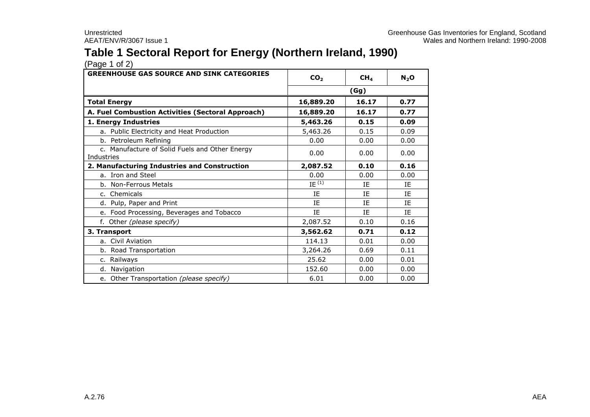# **Table 1 Sectoral Report for Energy (Northern Ireland, 1990)**

| <b>GREENHOUSE GAS SOURCE AND SINK CATEGORIES</b>             | CO <sub>2</sub> | CH <sub>4</sub> | $N_2$ O |
|--------------------------------------------------------------|-----------------|-----------------|---------|
|                                                              | (Gg)            |                 |         |
| <b>Total Energy</b>                                          | 16,889.20       | 16.17           | 0.77    |
| A. Fuel Combustion Activities (Sectoral Approach)            | 16,889.20       | 16.17           | 0.77    |
| 1. Energy Industries                                         | 5,463.26        | 0.15            | 0.09    |
| a. Public Electricity and Heat Production                    | 5,463.26        | 0.15            | 0.09    |
| b. Petroleum Refining                                        | 0.00            | 0.00            | 0.00    |
| c. Manufacture of Solid Fuels and Other Energy<br>Industries | 0.00            | 0.00            | 0.00    |
| 2. Manufacturing Industries and Construction                 | 2,087.52        | 0.10            | 0.16    |
| a. Iron and Steel                                            | 0.00            | 0.00            | 0.00    |
| b. Non-Ferrous Metals                                        | $IE^{(1)}$      | ΙE              | ΙE      |
| c. Chemicals                                                 | IE              | IE              | IE      |
| d. Pulp, Paper and Print                                     | IE              | <b>IF</b>       | ΙF      |
| e. Food Processing, Beverages and Tobacco                    | IE              | IE              | ΙE      |
| f. Other (please specify)                                    | 2,087.52        | 0.10            | 0.16    |
| 3. Transport                                                 | 3,562.62        | 0.71            | 0.12    |
| a. Civil Aviation                                            | 114.13          | 0.01            | 0.00    |
| b. Road Transportation                                       | 3,264.26        | 0.69            | 0.11    |
| c. Railways                                                  | 25.62           | 0.00            | 0.01    |
| d. Navigation                                                | 152.60          | 0.00            | 0.00    |
| e. Other Transportation (please specify)                     | 6.01            | 0.00            | 0.00    |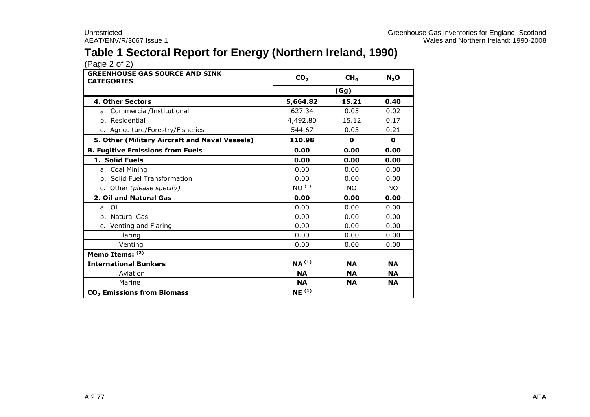# **Table 1 Sectoral Report for Energy (Northern Ireland, 1990)**

| <b>GREENHOUSE GAS SOURCE AND SINK</b><br><b>CATEGORIES</b> | CO <sub>2</sub>   | CH <sub>4</sub> | $N_2$ O   |
|------------------------------------------------------------|-------------------|-----------------|-----------|
|                                                            | (Gg)              |                 |           |
| <b>4. Other Sectors</b>                                    | 5,664.82          | 15.21           | 0.40      |
| a. Commercial/Institutional                                | 627.34            | 0.05            | 0.02      |
| b. Residential                                             | 4,492.80          | 15.12           | 0.17      |
| c. Agriculture/Forestry/Fisheries                          | 544.67            | 0.03            | 0.21      |
| 5. Other (Military Aircraft and Naval Vessels)             | 110.98            | 0               | 0         |
| <b>B. Fugitive Emissions from Fuels</b>                    | 0.00              | 0.00            | 0.00      |
| 1. Solid Fuels                                             | 0.00              | 0.00            | 0.00      |
| a. Coal Mining                                             | 0.00              | 0.00            | 0.00      |
| b. Solid Fuel Transformation                               | 0.00              | 0.00            | 0.00      |
| c. Other (please specify)                                  | $NO^{(1)}$        | <b>NO</b>       | NO.       |
| 2. Oil and Natural Gas                                     | 0.00              | 0.00            | 0.00      |
| a. Oil                                                     | 0.00              | 0.00            | 0.00      |
| b. Natural Gas                                             | 0.00              | 0.00            | 0.00      |
| c. Venting and Flaring                                     | 0.00              | 0.00            | 0.00      |
| Flaring                                                    | 0.00              | 0.00            | 0.00      |
| Venting                                                    | 0.00              | 0.00            | 0.00      |
| Memo Items: (2)                                            |                   |                 |           |
| <b>International Bunkers</b>                               | NA <sup>(1)</sup> | <b>NA</b>       | <b>NA</b> |
| Aviation                                                   | <b>NA</b>         | <b>NA</b>       | <b>NA</b> |
| Marine                                                     | <b>NA</b>         | <b>NA</b>       | <b>NA</b> |
| CO <sub>2</sub> Emissions from Biomass                     | $NE^{(1)}$        |                 |           |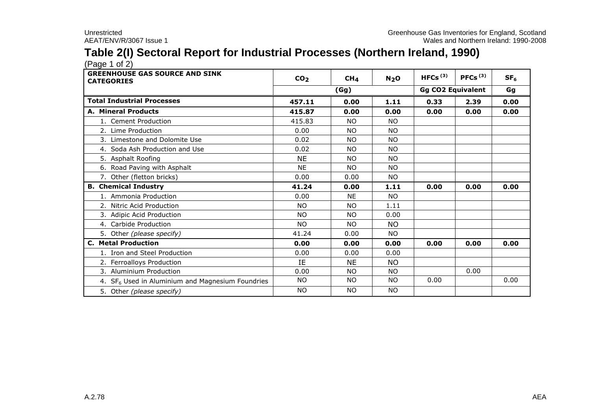# **Table 2(I) Sectoral Report for Industrial Processes (Northern Ireland, 1990)**

 $(Pa^2 \cdot 1)$ 

| <b>GREENHOUSE GAS SOURCE AND SINK</b><br><b>CATEGORIES</b>   | CO <sub>2</sub> | CH <sub>4</sub> | N <sub>2</sub> O | HFCs $(3)$ | PFCs $(3)$               | SF <sub>6</sub> |  |
|--------------------------------------------------------------|-----------------|-----------------|------------------|------------|--------------------------|-----------------|--|
|                                                              |                 | (Gg)            |                  |            | <b>Gg CO2 Equivalent</b> |                 |  |
| <b>Total Industrial Processes</b>                            | 457.11          | 0.00            | 1.11             | 0.33       | 2.39                     | 0.00            |  |
| <b>A. Mineral Products</b>                                   | 415.87          | 0.00            | 0.00             | 0.00       | 0.00                     | 0.00            |  |
| 1. Cement Production                                         | 415.83          | NO.             | <b>NO</b>        |            |                          |                 |  |
| 2. Lime Production                                           | 0.00            | <b>NO</b>       | NO.              |            |                          |                 |  |
| 3. Limestone and Dolomite Use                                | 0.02            | <b>NO</b>       | NO.              |            |                          |                 |  |
| 4. Soda Ash Production and Use                               | 0.02            | <b>NO</b>       | NO.              |            |                          |                 |  |
| 5. Asphalt Roofing                                           | <b>NE</b>       | <b>NO</b>       | NO.              |            |                          |                 |  |
| 6. Road Paving with Asphalt                                  | <b>NE</b>       | <b>NO</b>       | NO.              |            |                          |                 |  |
| 7. Other (fletton bricks)                                    | 0.00            | 0.00            | <b>NO</b>        |            |                          |                 |  |
| <b>B. Chemical Industry</b>                                  | 41.24           | 0.00            | 1.11             | 0.00       | 0.00                     | 0.00            |  |
| 1. Ammonia Production                                        | 0.00            | <b>NE</b>       | <b>NO</b>        |            |                          |                 |  |
| 2. Nitric Acid Production                                    | <b>NO</b>       | <b>NO</b>       | 1.11             |            |                          |                 |  |
| 3. Adipic Acid Production                                    | <b>NO</b>       | <b>NO</b>       | 0.00             |            |                          |                 |  |
| 4. Carbide Production                                        | <b>NO</b>       | NO.             | NO.              |            |                          |                 |  |
| 5. Other (please specify)                                    | 41.24           | 0.00            | NO.              |            |                          |                 |  |
| <b>C. Metal Production</b>                                   | 0.00            | 0.00            | 0.00             | 0.00       | 0.00                     | 0.00            |  |
| 1. Iron and Steel Production                                 | 0.00            | 0.00            | 0.00             |            |                          |                 |  |
| 2. Ferroalloys Production                                    | IE              | <b>NE</b>       | <b>NO</b>        |            |                          |                 |  |
| 3. Aluminium Production                                      | 0.00            | <b>NO</b>       | NO.              |            | 0.00                     |                 |  |
| 4. SF <sub>6</sub> Used in Aluminium and Magnesium Foundries | <b>NO</b>       | <b>NO</b>       | <b>NO</b>        | 0.00       |                          | 0.00            |  |
| 5. Other (please specify)                                    | <b>NO</b>       | <b>NO</b>       | <b>NO</b>        |            |                          |                 |  |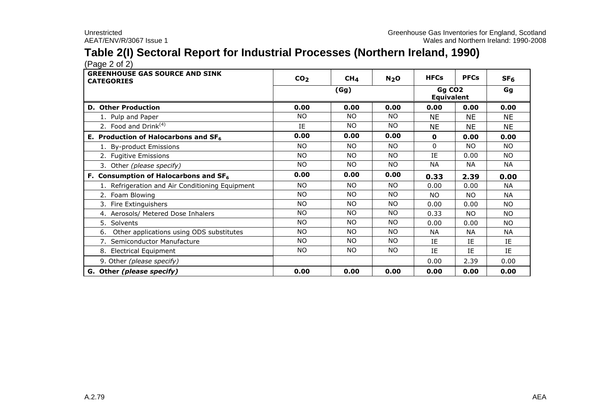# **Table 2(I) Sectoral Report for Industrial Processes (Northern Ireland, 1990)**

 $(Pa^2 \circ 2)$ 

| <b>GREENHOUSE GAS SOURCE AND SINK</b><br><b>CATEGORIES</b> | CO <sub>2</sub> | CH <sub>4</sub> | N <sub>2</sub> O | <b>HFCs</b> | <b>PFCs</b> | SF <sub>6</sub> |
|------------------------------------------------------------|-----------------|-----------------|------------------|-------------|-------------|-----------------|
|                                                            |                 | (Gg)            |                  |             |             | Gg              |
| <b>D. Other Production</b>                                 | 0.00            | 0.00            | 0.00             | 0.00        | 0.00        | 0.00            |
| 1. Pulp and Paper                                          | NO.             | NO.             | NO.              | NE          | NE          | <b>NE</b>       |
| 2. Food and Drink $(4)$                                    | IE              | NO.             | NO.              | <b>NE</b>   | <b>NE</b>   | <b>NE</b>       |
| E. Production of Halocarbons and SF <sub>6</sub>           | 0.00            | 0.00            | 0.00             | 0           | 0.00        | 0.00            |
| 1. By-product Emissions                                    | NO.             | NO.             | NO.              | $\Omega$    | NO.         | NO.             |
| 2. Fugitive Emissions                                      | NO.             | <b>NO</b>       | <b>NO</b>        | ΙF          | 0.00        | NO.             |
| 3. Other (please specify)                                  | NO.             | NO.             | NO.              | <b>NA</b>   | <b>NA</b>   | <b>NA</b>       |
| F. Consumption of Halocarbons and $SF6$                    | 0.00            | 0.00            | 0.00             | 0.33        | 2.39        | 0.00            |
| 1. Refrigeration and Air Conditioning Equipment            | NO.             | <b>NO</b>       | NO.              | 0.00        | 0.00        | <b>NA</b>       |
| 2. Foam Blowing                                            | <b>NO</b>       | NO.             | NO.              | NO.         | NO.         | <b>NA</b>       |
| 3. Fire Extinguishers                                      | NO.             | NO.             | <b>NO</b>        | 0.00        | 0.00        | NO.             |
| 4. Aerosols/ Metered Dose Inhalers                         | NO.             | NO.             | NO.              | 0.33        | <b>NO</b>   | <b>NO</b>       |
| 5. Solvents                                                | <b>NO</b>       | NO.             | NO.              | 0.00        | 0.00        | NO.             |
| 6. Other applications using ODS substitutes                | <b>NO</b>       | <b>NO</b>       | NO.              | <b>NA</b>   | NА          | <b>NA</b>       |
| 7. Semiconductor Manufacture                               | NO.             | NO.             | NO.              | IE          | IE          | IE              |
| 8. Electrical Equipment                                    | NO.             | NO.             | NO.              | IE          | IE          | IE              |
| 9. Other (please specify)                                  |                 |                 |                  | 0.00        | 2.39        | 0.00            |
| G. Other (please specify)                                  | 0.00            | 0.00            | 0.00             | 0.00        | 0.00        | 0.00            |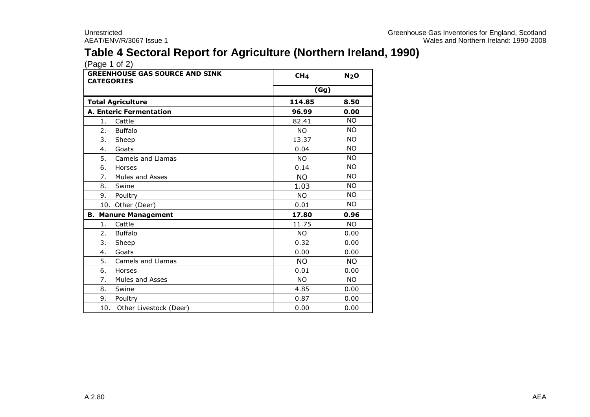# **Table 4 Sectoral Report for Agriculture (Northern Ireland, 1990)**

| <b>GREENHOUSE GAS SOURCE AND SINK</b><br><b>CATEGORIES</b> | CH <sub>4</sub> | N <sub>2</sub> O |
|------------------------------------------------------------|-----------------|------------------|
|                                                            | (Gg)            |                  |
| <b>Total Agriculture</b>                                   | 114.85          | 8.50             |
| <b>A. Enteric Fermentation</b>                             | 96.99           | 0.00             |
| Cattle<br>1.                                               | 82.41           | <b>NO</b>        |
| 2.<br><b>Buffalo</b>                                       | <b>NO</b>       | <b>NO</b>        |
| 3.<br>Sheep                                                | 13.37           | <b>NO</b>        |
| Goats<br>4.                                                | 0.04            | <b>NO</b>        |
| 5.<br>Camels and Llamas                                    | <b>NO</b>       | <b>NO</b>        |
| 6.<br>Horses                                               | 0.14            | <b>NO</b>        |
| 7.<br>Mules and Asses                                      | <b>NO</b>       | <b>NO</b>        |
| 8.<br>Swine                                                | 1.03            | <b>NO</b>        |
| 9.<br>Poultry                                              | <b>NO</b>       | <b>NO</b>        |
| 10. Other (Deer)                                           | 0.01            | <b>NO</b>        |
| <b>B. Manure Management</b>                                | 17.80           | 0.96             |
| 1.<br>Cattle                                               | 11.75           | <b>NO</b>        |
| <b>Buffalo</b><br>2.                                       | <b>NO</b>       | 0.00             |
| 3.<br>Sheep                                                | 0.32            | 0.00             |
| Goats<br>4.                                                | 0.00            | 0.00             |
| 5.<br><b>Camels and Llamas</b>                             | <b>NO</b>       | <b>NO</b>        |
| 6.<br>Horses                                               | 0.01            | 0.00             |
| 7.<br>Mules and Asses                                      | <b>NO</b>       | <b>NO</b>        |
| 8.<br>Swine                                                | 4.85            | 0.00             |
| 9.<br>Poultry                                              | 0.87            | 0.00             |
| 10.<br>Other Livestock (Deer)                              | 0.00            | 0.00             |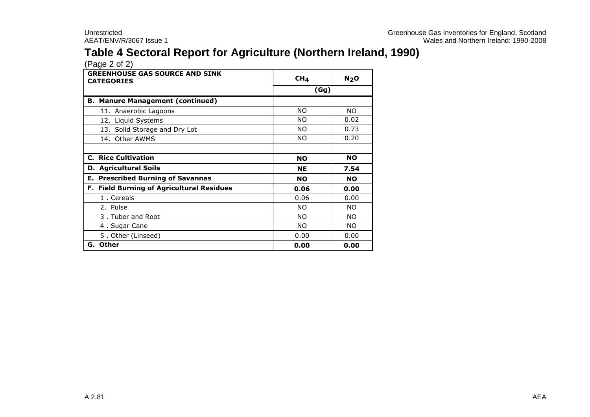# **Table 4 Sectoral Report for Agriculture (Northern Ireland, 1990)**

| <b>GREENHOUSE GAS SOURCE AND SINK</b><br><b>CATEGORIES</b> | CH <sub>4</sub> | N <sub>2</sub> O |
|------------------------------------------------------------|-----------------|------------------|
|                                                            | (Gg)            |                  |
| <b>B. Manure Management (continued)</b>                    |                 |                  |
| 11. Anaerobic Lagoons                                      | NO.             | NO.              |
| 12. Liquid Systems                                         | NO.             | 0.02             |
| 13. Solid Storage and Dry Lot                              | NO.             | 0.73             |
| 14. Other AWMS                                             | NO.             | 0.20             |
|                                                            |                 |                  |
| <b>C. Rice Cultivation</b>                                 | <b>NO</b>       | <b>NO</b>        |
| <b>D. Agricultural Soils</b>                               | <b>NE</b>       | 7.54             |
| <b>E. Prescribed Burning of Savannas</b>                   | <b>NO</b>       | <b>NO</b>        |
| F. Field Burning of Agricultural Residues                  | 0.06            | 0.00             |
| 1. Cereals                                                 | 0.06            | 0.00             |
| 2. Pulse                                                   | NO.             | NO.              |
| 3. Tuber and Root                                          | NO.             | NO.              |
| 4. Sugar Cane                                              | NO.             | NO.              |
| 5. Other (Linseed)                                         | 0.00            | 0.00             |
| G. Other                                                   | 0.00            | 0.00             |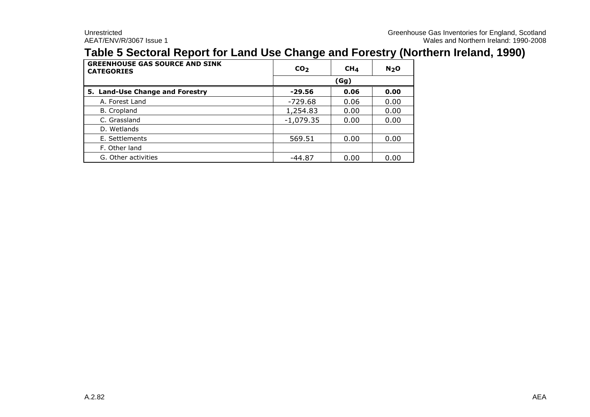### **Table 5 Sectoral Report for Land Use Change and Forestry (Northern Ireland, 1990)**

| <b>GREENHOUSE GAS SOURCE AND SINK</b><br><b>CATEGORIES</b> | CO <sub>2</sub> | CH <sub>4</sub> | N <sub>2</sub> O |
|------------------------------------------------------------|-----------------|-----------------|------------------|
|                                                            |                 |                 |                  |
| 5. Land-Use Change and Forestry                            | $-29.56$        | 0.06            | 0.00             |
| A. Forest Land                                             | -729.68         | 0.06            | 0.00             |
| B. Cropland                                                | 1,254.83        | 0.00            | 0.00             |
| C. Grassland                                               | $-1,079.35$     | 0.00            | 0.00             |
| D. Wetlands                                                |                 |                 |                  |
| E. Settlements                                             | 569.51          | 0.00            | 0.00             |
| F. Other land                                              |                 |                 |                  |
| G. Other activities                                        | $-44.87$        | 0.00            | 0.00             |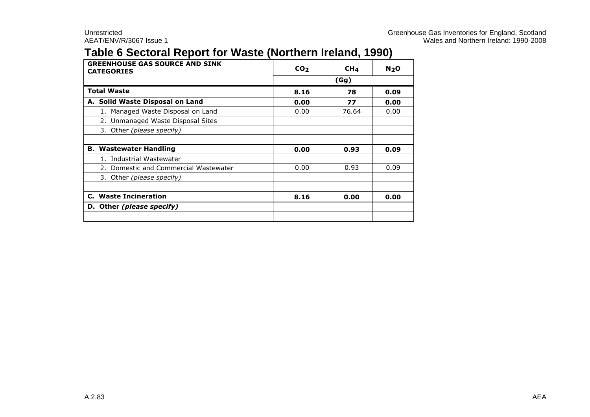### **Table 6 Sectoral Report for Waste (Northern Ireland, 1990)**

| <b>GREENHOUSE GAS SOURCE AND SINK</b><br><b>CATEGORIES</b> | CO <sub>2</sub> | CH <sub>4</sub> | N <sub>2</sub> O |
|------------------------------------------------------------|-----------------|-----------------|------------------|
|                                                            |                 | (Gg)            |                  |
| <b>Total Waste</b>                                         | 8.16            | 78              | 0.09             |
| A. Solid Waste Disposal on Land                            | 0.00            | 77              | 0.00             |
| 1. Managed Waste Disposal on Land                          | 0.00            | 76.64           | 0.00             |
| 2. Unmanaged Waste Disposal Sites                          |                 |                 |                  |
| 3. Other (please specify)                                  |                 |                 |                  |
|                                                            |                 |                 |                  |
| <b>B. Wastewater Handling</b>                              | 0.00            | 0.93            | 0.09             |
| Industrial Wastewater                                      |                 |                 |                  |
| 2. Domestic and Commercial Wastewater                      | 0.00            | 0.93            | 0.09             |
| 3. Other (please specify)                                  |                 |                 |                  |
|                                                            |                 |                 |                  |
| <b>C.</b> Waste Incineration                               | 8.16            | 0.00            | 0.00             |
| D. Other (please specify)                                  |                 |                 |                  |
|                                                            |                 |                 |                  |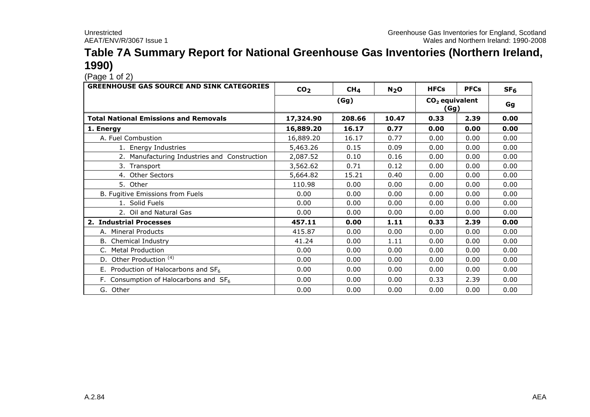#### **Table 7A Summary Report for National Greenhouse Gas Inventories (Northern Ireland, 1990)**

 $(Pa^2 \n1 of 2)$ 

| <b>GREENHOUSE GAS SOURCE AND SINK CATEGORIES</b> | CO <sub>2</sub> | CH <sub>4</sub> | N <sub>2</sub> O | <b>HFCs</b>              | <b>PFCs</b> | SF <sub>6</sub> |
|--------------------------------------------------|-----------------|-----------------|------------------|--------------------------|-------------|-----------------|
|                                                  |                 | (Gg)            |                  | $CO2$ equivalent<br>(Gg) | Gg          |                 |
| <b>Total National Emissions and Removals</b>     | 17,324.90       | 208.66          | 10.47            | 0.33                     | 2.39        | 0.00            |
| 1. Energy                                        | 16,889.20       | 16.17           | 0.77             | 0.00                     | 0.00        | 0.00            |
| A. Fuel Combustion                               | 16,889.20       | 16.17           | 0.77             | 0.00                     | 0.00        | 0.00            |
| 1. Energy Industries                             | 5,463.26        | 0.15            | 0.09             | 0.00                     | 0.00        | 0.00            |
| 2. Manufacturing Industries and Construction     | 2,087.52        | 0.10            | 0.16             | 0.00                     | 0.00        | 0.00            |
| 3. Transport                                     | 3,562.62        | 0.71            | 0.12             | 0.00                     | 0.00        | 0.00            |
| 4. Other Sectors                                 | 5,664.82        | 15.21           | 0.40             | 0.00                     | 0.00        | 0.00            |
| 5. Other                                         | 110.98          | 0.00            | 0.00             | 0.00                     | 0.00        | 0.00            |
| B. Fugitive Emissions from Fuels                 | 0.00            | 0.00            | 0.00             | 0.00                     | 0.00        | 0.00            |
| 1. Solid Fuels                                   | 0.00            | 0.00            | 0.00             | 0.00                     | 0.00        | 0.00            |
| 2. Oil and Natural Gas                           | 0.00            | 0.00            | 0.00             | 0.00                     | 0.00        | 0.00            |
| 2. Industrial Processes                          | 457.11          | 0.00            | 1.11             | 0.33                     | 2.39        | 0.00            |
| A. Mineral Products                              | 415.87          | 0.00            | 0.00             | 0.00                     | 0.00        | 0.00            |
| <b>B.</b> Chemical Industry                      | 41.24           | 0.00            | 1.11             | 0.00                     | 0.00        | 0.00            |
| C. Metal Production                              | 0.00            | 0.00            | 0.00             | 0.00                     | 0.00        | 0.00            |
| D. Other Production <sup>(4)</sup>               | 0.00            | 0.00            | 0.00             | 0.00                     | 0.00        | 0.00            |
| E. Production of Halocarbons and $SF6$           | 0.00            | 0.00            | 0.00             | 0.00                     | 0.00        | 0.00            |
| F. Consumption of Halocarbons and $SF6$          | 0.00            | 0.00            | 0.00             | 0.33                     | 2.39        | 0.00            |
| G. Other                                         | 0.00            | 0.00            | 0.00             | 0.00                     | 0.00        | 0.00            |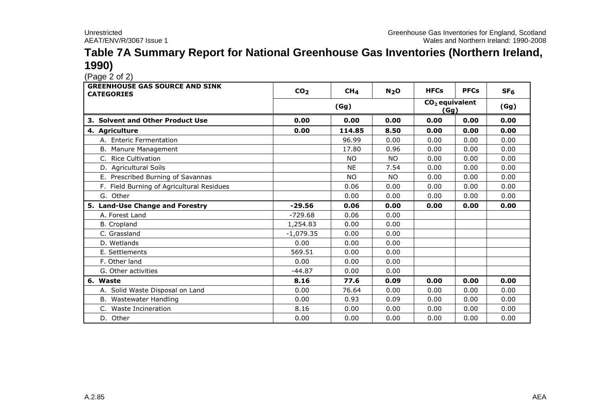#### **Table 7A Summary Report for National Greenhouse Gas Inventories (Northern Ireland, 1990)**

| $(1 - 2) - 1 = 1 - 1$<br><b>GREENHOUSE GAS SOURCE AND SINK</b><br><b>CATEGORIES</b> | CO <sub>2</sub> | CH <sub>4</sub> | N <sub>2</sub> O | <b>HFCs</b>              | <b>PFCs</b> | SF <sub>6</sub> |
|-------------------------------------------------------------------------------------|-----------------|-----------------|------------------|--------------------------|-------------|-----------------|
|                                                                                     |                 | (Gg)            |                  | $CO2$ equivalent<br>(Gg) | (Gg)        |                 |
| 3. Solvent and Other Product Use                                                    | 0.00            | 0.00            | 0.00             | 0.00                     | 0.00        | 0.00            |
| 4. Agriculture                                                                      | 0.00            | 114.85          | 8.50             | 0.00                     | 0.00        | 0.00            |
| A. Enteric Fermentation                                                             |                 | 96.99           | 0.00             | 0.00                     | 0.00        | 0.00            |
| B. Manure Management                                                                |                 | 17.80           | 0.96             | 0.00                     | 0.00        | 0.00            |
| C. Rice Cultivation                                                                 |                 | <b>NO</b>       | <b>NO</b>        | 0.00                     | 0.00        | 0.00            |
| D. Agricultural Soils                                                               |                 | <b>NE</b>       | 7.54             | 0.00                     | 0.00        | 0.00            |
| E. Prescribed Burning of Savannas                                                   |                 | <b>NO</b>       | <b>NO</b>        | 0.00                     | 0.00        | 0.00            |
| F. Field Burning of Agricultural Residues                                           |                 | 0.06            | 0.00             | 0.00                     | 0.00        | 0.00            |
| G. Other                                                                            |                 | 0.00            | 0.00             | 0.00                     | 0.00        | 0.00            |
| 5. Land-Use Change and Forestry                                                     | $-29.56$        | 0.06            | 0.00             | 0.00                     | 0.00        | 0.00            |
| A. Forest Land                                                                      | $-729.68$       | 0.06            | 0.00             |                          |             |                 |
| <b>B.</b> Cropland                                                                  | 1,254.83        | 0.00            | 0.00             |                          |             |                 |
| C. Grassland                                                                        | $-1,079.35$     | 0.00            | 0.00             |                          |             |                 |
| D. Wetlands                                                                         | 0.00            | 0.00            | 0.00             |                          |             |                 |
| E. Settlements                                                                      | 569.51          | 0.00            | 0.00             |                          |             |                 |
| F. Other land                                                                       | 0.00            | 0.00            | 0.00             |                          |             |                 |
| G. Other activities                                                                 | $-44.87$        | 0.00            | 0.00             |                          |             |                 |
| 6. Waste                                                                            | 8.16            | 77.6            | 0.09             | 0.00                     | 0.00        | 0.00            |
| A. Solid Waste Disposal on Land                                                     | 0.00            | 76.64           | 0.00             | 0.00                     | 0.00        | 0.00            |
| B. Wastewater Handling                                                              | 0.00            | 0.93            | 0.09             | 0.00                     | 0.00        | 0.00            |
| C. Waste Incineration                                                               | 8.16            | 0.00            | 0.00             | 0.00                     | 0.00        | 0.00            |
| D. Other                                                                            | 0.00            | 0.00            | 0.00             | 0.00                     | 0.00        | 0.00            |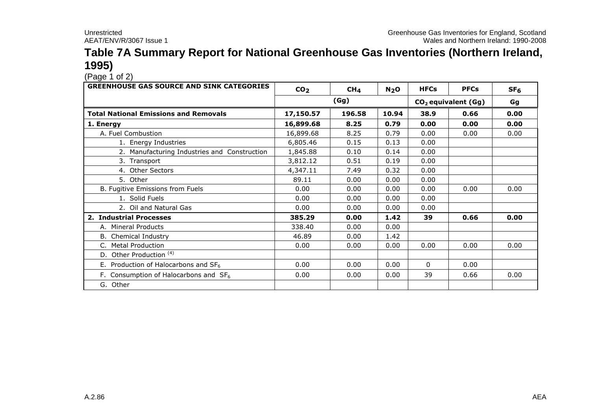### **Table 7A Summary Report for National Greenhouse Gas Inventories (Northern Ireland, 1995)**

 $(Pa^2 \n1 of 2)$ 

| <b>GREENHOUSE GAS SOURCE AND SINK CATEGORIES</b> | CO <sub>2</sub> | CH <sub>4</sub> | N <sub>2</sub> O | <b>HFCs</b> | <b>PFCs</b>           | SF <sub>6</sub> |
|--------------------------------------------------|-----------------|-----------------|------------------|-------------|-----------------------|-----------------|
|                                                  |                 | (Gg)            |                  |             | $CO2$ equivalent (Gg) | Gg              |
| <b>Total National Emissions and Removals</b>     | 17,150.57       | 196.58          | 10.94            | 38.9        | 0.66                  | 0.00            |
| 1. Energy                                        | 16,899.68       | 8.25            | 0.79             | 0.00        | 0.00                  | 0.00            |
| A. Fuel Combustion                               | 16,899.68       | 8.25            | 0.79             | 0.00        | 0.00                  | 0.00            |
| 1. Energy Industries                             | 6,805.46        | 0.15            | 0.13             | 0.00        |                       |                 |
| 2. Manufacturing Industries and Construction     | 1,845.88        | 0.10            | 0.14             | 0.00        |                       |                 |
| 3. Transport                                     | 3,812.12        | 0.51            | 0.19             | 0.00        |                       |                 |
| 4. Other Sectors                                 | 4,347.11        | 7.49            | 0.32             | 0.00        |                       |                 |
| 5. Other                                         | 89.11           | 0.00            | 0.00             | 0.00        |                       |                 |
| B. Fugitive Emissions from Fuels                 | 0.00            | 0.00            | 0.00             | 0.00        | 0.00                  | 0.00            |
| 1. Solid Fuels                                   | 0.00            | 0.00            | 0.00             | 0.00        |                       |                 |
| 2. Oil and Natural Gas                           | 0.00            | 0.00            | 0.00             | 0.00        |                       |                 |
| 2. Industrial Processes                          | 385.29          | 0.00            | 1.42             | 39          | 0.66                  | 0.00            |
| A. Mineral Products                              | 338.40          | 0.00            | 0.00             |             |                       |                 |
| B. Chemical Industry                             | 46.89           | 0.00            | 1.42             |             |                       |                 |
| C. Metal Production                              | 0.00            | 0.00            | 0.00             | 0.00        | 0.00                  | 0.00            |
| D. Other Production <sup>(4)</sup>               |                 |                 |                  |             |                       |                 |
| E. Production of Halocarbons and $SF_6$          | 0.00            | 0.00            | 0.00             | $\Omega$    | 0.00                  |                 |
| F. Consumption of Halocarbons and $SF6$          | 0.00            | 0.00            | 0.00             | 39          | 0.66                  | 0.00            |
| G. Other                                         |                 |                 |                  |             |                       |                 |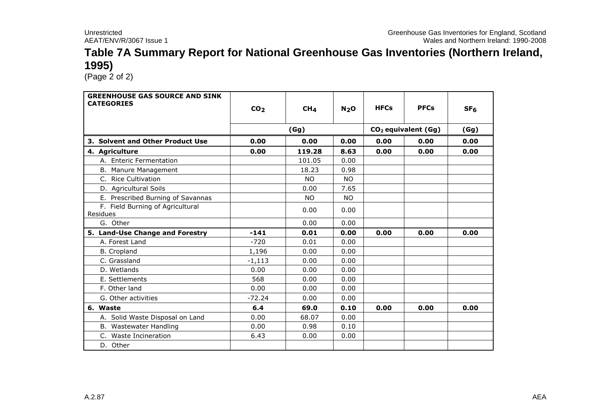### **Table 7A Summary Report for National Greenhouse Gas Inventories (Northern Ireland, 1995)**

 $(Page<sub>2</sub> of 2)$ 

| <b>GREENHOUSE GAS SOURCE AND SINK</b><br><b>CATEGORIES</b> | CO <sub>2</sub> | CH <sub>4</sub> | N <sub>2</sub> O | <b>HFCs</b> | <b>PFCs</b>                     | SF <sub>6</sub> |
|------------------------------------------------------------|-----------------|-----------------|------------------|-------------|---------------------------------|-----------------|
|                                                            |                 | (Gg)            |                  |             | CO <sub>2</sub> equivalent (Gg) | (Gg)            |
| 3. Solvent and Other Product Use                           | 0.00            | 0.00            | 0.00             | 0.00        | 0.00                            | 0.00            |
| 4. Agriculture                                             | 0.00            | 119.28          | 8.63             | 0.00        | 0.00                            | 0.00            |
| A. Enteric Fermentation                                    |                 | 101.05          | 0.00             |             |                                 |                 |
| B. Manure Management                                       |                 | 18.23           | 0.98             |             |                                 |                 |
| C. Rice Cultivation                                        |                 | <b>NO</b>       | NO.              |             |                                 |                 |
| D. Agricultural Soils                                      |                 | 0.00            | 7.65             |             |                                 |                 |
| E. Prescribed Burning of Savannas                          |                 | NO.             | <b>NO</b>        |             |                                 |                 |
| F. Field Burning of Agricultural<br>Residues               |                 | 0.00            | 0.00             |             |                                 |                 |
| G. Other                                                   |                 | 0.00            | 0.00             |             |                                 |                 |
| 5. Land-Use Change and Forestry                            | $-141$          | 0.01            | 0.00             | 0.00        | 0.00                            | 0.00            |
| A. Forest Land                                             | $-720$          | 0.01            | 0.00             |             |                                 |                 |
| <b>B.</b> Cropland                                         | 1,196           | 0.00            | 0.00             |             |                                 |                 |
| C. Grassland                                               | $-1,113$        | 0.00            | 0.00             |             |                                 |                 |
| D. Wetlands                                                | 0.00            | 0.00            | 0.00             |             |                                 |                 |
| E. Settlements                                             | 568             | 0.00            | 0.00             |             |                                 |                 |
| F. Other land                                              | 0.00            | 0.00            | 0.00             |             |                                 |                 |
| G. Other activities                                        | $-72.24$        | 0.00            | 0.00             |             |                                 |                 |
| 6. Waste                                                   | 6.4             | 69.0            | 0.10             | 0.00        | 0.00                            | 0.00            |
| A. Solid Waste Disposal on Land                            | 0.00            | 68.07           | 0.00             |             |                                 |                 |
| B. Wastewater Handling                                     | 0.00            | 0.98            | 0.10             |             |                                 |                 |
| C. Waste Incineration                                      | 6.43            | 0.00            | 0.00             |             |                                 |                 |
| D. Other                                                   |                 |                 |                  |             |                                 |                 |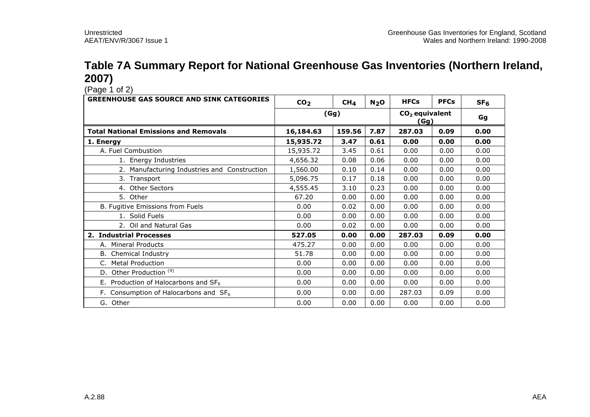### **Table 7A Summary Report for National Greenhouse Gas Inventories (Northern Ireland, 2007)**

 $(Paq e \n1 of 2)$ 

| <b>GREENHOUSE GAS SOURCE AND SINK CATEGORIES</b> | CO <sub>2</sub> | CH <sub>4</sub> | N <sub>2</sub> O         | <b>HFCs</b> | <b>PFCs</b> | SF <sub>6</sub> |
|--------------------------------------------------|-----------------|-----------------|--------------------------|-------------|-------------|-----------------|
|                                                  | (Gg)            |                 | $CO2$ equivalent<br>(Gg) | Gg          |             |                 |
| <b>Total National Emissions and Removals</b>     | 16,184.63       | 159.56          | 7.87                     | 287.03      | 0.09        | 0.00            |
| 1. Energy                                        | 15,935.72       | 3.47            | 0.61                     | 0.00        | 0.00        | 0.00            |
| A. Fuel Combustion                               | 15,935.72       | 3.45            | 0.61                     | 0.00        | 0.00        | 0.00            |
| 1. Energy Industries                             | 4,656.32        | 0.08            | 0.06                     | 0.00        | 0.00        | 0.00            |
| 2. Manufacturing Industries and Construction     | 1,560.00        | 0.10            | 0.14                     | 0.00        | 0.00        | 0.00            |
| 3. Transport                                     | 5,096.75        | 0.17            | 0.18                     | 0.00        | 0.00        | 0.00            |
| 4. Other Sectors                                 | 4,555.45        | 3.10            | 0.23                     | 0.00        | 0.00        | 0.00            |
| 5. Other                                         | 67.20           | 0.00            | 0.00                     | 0.00        | 0.00        | 0.00            |
| B. Fugitive Emissions from Fuels                 | 0.00            | 0.02            | 0.00                     | 0.00        | 0.00        | 0.00            |
| 1. Solid Fuels                                   | 0.00            | 0.00            | 0.00                     | 0.00        | 0.00        | 0.00            |
| 2. Oil and Natural Gas                           | 0.00            | 0.02            | 0.00                     | 0.00        | 0.00        | 0.00            |
| 2. Industrial Processes                          | 527.05          | 0.00            | 0.00                     | 287.03      | 0.09        | 0.00            |
| A. Mineral Products                              | 475.27          | 0.00            | 0.00                     | 0.00        | 0.00        | 0.00            |
| Chemical Industry                                | 51.78           | 0.00            | 0.00                     | 0.00        | 0.00        | 0.00            |
| C. Metal Production                              | 0.00            | 0.00            | 0.00                     | 0.00        | 0.00        | 0.00            |
| D. Other Production <sup>(4)</sup>               | 0.00            | 0.00            | 0.00                     | 0.00        | 0.00        | 0.00            |
| E. Production of Halocarbons and $SF6$           | 0.00            | 0.00            | 0.00                     | 0.00        | 0.00        | 0.00            |
| F. Consumption of Halocarbons and $SF_6$         | 0.00            | 0.00            | 0.00                     | 287.03      | 0.09        | 0.00            |
| G. Other                                         | 0.00            | 0.00            | 0.00                     | 0.00        | 0.00        | 0.00            |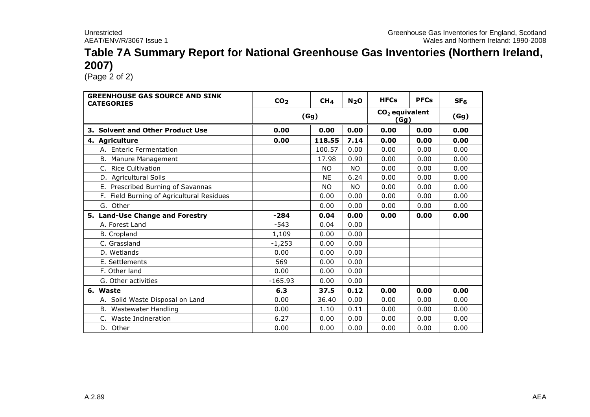#### **Table 7A Summary Report for National Greenhouse Gas Inventories (Northern Ireland, 2007)**

 $(Page<sub>2</sub> of 2)$ 

| <b>GREENHOUSE GAS SOURCE AND SINK</b><br><b>CATEGORIES</b> | CO <sub>2</sub> | CH <sub>4</sub> | N <sub>2</sub> O | <b>HFCs</b>              | <b>PFCs</b> | SF <sub>6</sub> |
|------------------------------------------------------------|-----------------|-----------------|------------------|--------------------------|-------------|-----------------|
|                                                            |                 | (Gg)            |                  | $CO2$ equivalent<br>(Gg) |             | (Gg)            |
| 3. Solvent and Other Product Use                           | 0.00            | 0.00            | 0.00             | 0.00                     | 0.00        | 0.00            |
| 4. Agriculture                                             | 0.00            | 118.55          | 7.14             | 0.00                     | 0.00        | 0.00            |
| A. Enteric Fermentation                                    |                 | 100.57          | 0.00             | 0.00                     | 0.00        | 0.00            |
| B. Manure Management                                       |                 | 17.98           | 0.90             | 0.00                     | 0.00        | 0.00            |
| C. Rice Cultivation                                        |                 | <b>NO</b>       | <b>NO</b>        | 0.00                     | 0.00        | 0.00            |
| D. Agricultural Soils                                      |                 | <b>NE</b>       | 6.24             | 0.00                     | 0.00        | 0.00            |
| E. Prescribed Burning of Savannas                          |                 | NO.             | <b>NO</b>        | 0.00                     | 0.00        | 0.00            |
| F. Field Burning of Agricultural Residues                  |                 | 0.00            | 0.00             | 0.00                     | 0.00        | 0.00            |
| G. Other                                                   |                 | 0.00            | 0.00             | 0.00                     | 0.00        | 0.00            |
| 5. Land-Use Change and Forestry                            | $-284$          | 0.04            | 0.00             | 0.00                     | 0.00        | 0.00            |
| A. Forest Land                                             | $-543$          | 0.04            | 0.00             |                          |             |                 |
| <b>B.</b> Cropland                                         | 1,109           | 0.00            | 0.00             |                          |             |                 |
| C. Grassland                                               | $-1,253$        | 0.00            | 0.00             |                          |             |                 |
| D. Wetlands                                                | 0.00            | 0.00            | 0.00             |                          |             |                 |
| E. Settlements                                             | 569             | 0.00            | 0.00             |                          |             |                 |
| F. Other land                                              | 0.00            | 0.00            | 0.00             |                          |             |                 |
| G. Other activities                                        | $-165.93$       | 0.00            | 0.00             |                          |             |                 |
| 6. Waste                                                   | 6.3             | 37.5            | 0.12             | 0.00                     | 0.00        | 0.00            |
| A. Solid Waste Disposal on Land                            | 0.00            | 36.40           | 0.00             | 0.00                     | 0.00        | 0.00            |
| B. Wastewater Handling                                     | 0.00            | 1.10            | 0.11             | 0.00                     | 0.00        | 0.00            |
| Waste Incineration<br>C.                                   | 6.27            | 0.00            | 0.00             | 0.00                     | 0.00        | 0.00            |
| D. Other                                                   | 0.00            | 0.00            | 0.00             | 0.00                     | 0.00        | 0.00            |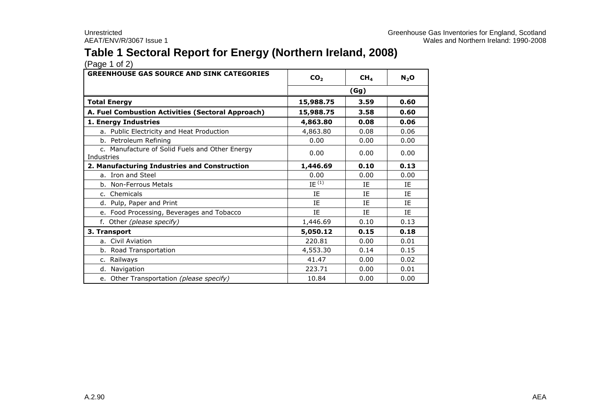# **Table 1 Sectoral Report for Energy (Northern Ireland, 2008)**

| <b>GREENHOUSE GAS SOURCE AND SINK CATEGORIES</b>             | CO <sub>2</sub> | CH <sub>4</sub> | $N_2$ O   |
|--------------------------------------------------------------|-----------------|-----------------|-----------|
|                                                              | (Gg)            |                 |           |
| <b>Total Energy</b>                                          | 15,988.75       | 3.59            | 0.60      |
| A. Fuel Combustion Activities (Sectoral Approach)            | 15,988.75       | 3.58            | 0.60      |
| 1. Energy Industries                                         | 4,863.80        | 0.08            | 0.06      |
| a. Public Electricity and Heat Production                    | 4,863.80        | 0.08            | 0.06      |
| b. Petroleum Refining                                        | 0.00            | 0.00            | 0.00      |
| c. Manufacture of Solid Fuels and Other Energy<br>Industries | 0.00            | 0.00            | 0.00      |
| 2. Manufacturing Industries and Construction                 | 1,446.69        | 0.10            | 0.13      |
| a. Iron and Steel                                            | 0.00            | 0.00            | 0.00      |
| b. Non-Ferrous Metals                                        | $IE^{(1)}$      | ΙE              | IE        |
| c. Chemicals                                                 | IE              | <b>IF</b>       | IE        |
| d. Pulp, Paper and Print                                     | <b>TF</b>       | <b>IF</b>       | <b>IF</b> |
| e. Food Processing, Beverages and Tobacco                    | IE              | <b>IF</b>       | IE        |
| f. Other (please specify)                                    | 1,446.69        | 0.10            | 0.13      |
| 3. Transport                                                 | 5,050.12        | 0.15            | 0.18      |
| a. Civil Aviation                                            | 220.81          | 0.00            | 0.01      |
| b. Road Transportation                                       | 4,553.30        | 0.14            | 0.15      |
| c. Railways                                                  | 41.47           | 0.00            | 0.02      |
| d. Navigation                                                | 223.71          | 0.00            | 0.01      |
| e. Other Transportation (please specify)                     | 10.84           | 0.00            | 0.00      |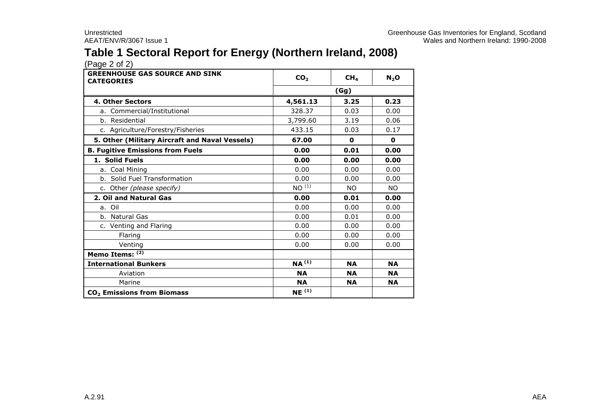# **Table 1 Sectoral Report for Energy (Northern Ireland, 2008)**

| <b>GREENHOUSE GAS SOURCE AND SINK</b><br><b>CATEGORIES</b> | CO <sub>2</sub>   | CH <sub>4</sub> | $N_2$ O   |  |
|------------------------------------------------------------|-------------------|-----------------|-----------|--|
|                                                            | (Gg)              |                 |           |  |
| <b>4. Other Sectors</b>                                    | 4,561.13          | 3.25            | 0.23      |  |
| a. Commercial/Institutional                                | 328.37            | 0.03            | 0.00      |  |
| b. Residential                                             | 3,799.60          | 3.19            | 0.06      |  |
| c. Agriculture/Forestry/Fisheries                          | 433.15            | 0.03            | 0.17      |  |
| 5. Other (Military Aircraft and Naval Vessels)             | 67.00             | 0               | 0         |  |
| <b>B. Fugitive Emissions from Fuels</b>                    | 0.00              | 0.01            | 0.00      |  |
| 1. Solid Fuels                                             | 0.00              | 0.00            | 0.00      |  |
| a. Coal Mining                                             | 0.00              | 0.00            | 0.00      |  |
| b. Solid Fuel Transformation                               | 0.00              | 0.00            | 0.00      |  |
| c. Other (please specify)                                  | $NO^{(1)}$        | <b>NO</b>       | NO.       |  |
| 2. Oil and Natural Gas                                     | 0.00              | 0.01            | 0.00      |  |
| a. Oil                                                     | 0.00              | 0.00            | 0.00      |  |
| b. Natural Gas                                             | 0.00              | 0.01            | 0.00      |  |
| c. Venting and Flaring                                     | 0.00              | 0.00            | 0.00      |  |
| Flaring                                                    | 0.00              | 0.00            | 0.00      |  |
| Venting                                                    | 0.00              | 0.00            | 0.00      |  |
| Memo Items: (2)                                            |                   |                 |           |  |
| <b>International Bunkers</b>                               | NA <sup>(1)</sup> | <b>NA</b>       | <b>NA</b> |  |
| Aviation                                                   | <b>NA</b>         | <b>NA</b>       | <b>NA</b> |  |
| Marine                                                     | <b>NA</b>         | <b>NA</b>       | <b>NA</b> |  |
| CO <sub>2</sub> Emissions from Biomass                     | $NE^{(1)}$        |                 |           |  |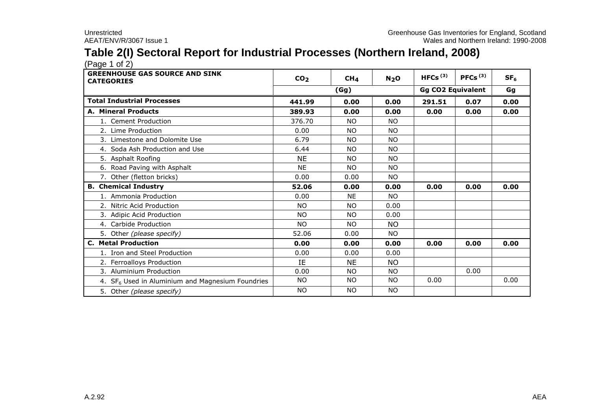# **Table 2(I) Sectoral Report for Industrial Processes (Northern Ireland, 2008)**

| <b>GREENHOUSE GAS SOURCE AND SINK</b><br><b>CATEGORIES</b>   | CO <sub>2</sub> | CH <sub>4</sub> | N <sub>2</sub> O | HFCs $(3)$ | PFCs $(3)$               | SF <sub>6</sub> |
|--------------------------------------------------------------|-----------------|-----------------|------------------|------------|--------------------------|-----------------|
|                                                              |                 | (Gg)            |                  |            | <b>Gg CO2 Equivalent</b> |                 |
| <b>Total Industrial Processes</b>                            | 441.99          | 0.00            | 0.00             | 291.51     | 0.07                     | 0.00            |
| <b>A. Mineral Products</b>                                   | 389.93          | 0.00            | 0.00             | 0.00       | 0.00                     | 0.00            |
| 1. Cement Production                                         | 376.70          | <b>NO</b>       | <b>NO</b>        |            |                          |                 |
| 2. Lime Production                                           | 0.00            | <b>NO</b>       | NO.              |            |                          |                 |
| 3. Limestone and Dolomite Use                                | 6.79            | <b>NO</b>       | <b>NO</b>        |            |                          |                 |
| 4. Soda Ash Production and Use                               | 6.44            | <b>NO</b>       | <b>NO</b>        |            |                          |                 |
| 5. Asphalt Roofing                                           | <b>NE</b>       | NO.             | <b>NO</b>        |            |                          |                 |
| 6. Road Paving with Asphalt                                  | <b>NE</b>       | <b>NO</b>       | NO.              |            |                          |                 |
| 7. Other (fletton bricks)                                    | 0.00            | 0.00            | NO.              |            |                          |                 |
| <b>B. Chemical Industry</b>                                  | 52.06           | 0.00            | 0.00             | 0.00       | 0.00                     | 0.00            |
| 1. Ammonia Production                                        | 0.00            | <b>NE</b>       | <b>NO</b>        |            |                          |                 |
| 2. Nitric Acid Production                                    | <b>NO</b>       | <b>NO</b>       | 0.00             |            |                          |                 |
| 3. Adipic Acid Production                                    | NO.             | <b>NO</b>       | 0.00             |            |                          |                 |
| 4. Carbide Production                                        | <b>NO</b>       | <b>NO</b>       | <b>NO</b>        |            |                          |                 |
| 5. Other (please specify)                                    | 52.06           | 0.00            | NO.              |            |                          |                 |
| <b>C. Metal Production</b>                                   | 0.00            | 0.00            | 0.00             | 0.00       | 0.00                     | 0.00            |
| 1. Iron and Steel Production                                 | 0.00            | 0.00            | 0.00             |            |                          |                 |
| 2. Ferroalloys Production                                    | IE              | <b>NE</b>       | <b>NO</b>        |            |                          |                 |
| 3. Aluminium Production                                      | 0.00            | <b>NO</b>       | <b>NO</b>        |            | 0.00                     |                 |
| 4. SF <sub>6</sub> Used in Aluminium and Magnesium Foundries | NO.             | <b>NO</b>       | <b>NO</b>        | 0.00       |                          | 0.00            |
| 5. Other (please specify)                                    | <b>NO</b>       | <b>NO</b>       | <b>NO</b>        |            |                          |                 |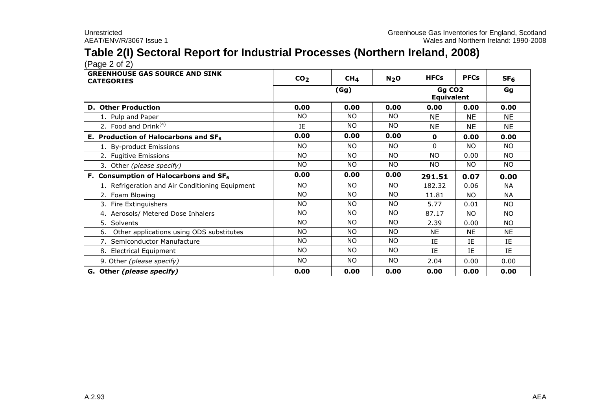# **Table 2(I) Sectoral Report for Industrial Processes (Northern Ireland, 2008)**

 $(Pa^2 \circ 2)$ 

| <b>GREENHOUSE GAS SOURCE AND SINK</b><br><b>CATEGORIES</b> | CO <sub>2</sub> | CH <sub>4</sub> | N <sub>2</sub> O | <b>HFCs</b>                             | <b>PFCs</b> | SF <sub>6</sub> |
|------------------------------------------------------------|-----------------|-----------------|------------------|-----------------------------------------|-------------|-----------------|
|                                                            |                 | (Gg)            |                  | Gg CO <sub>2</sub><br><b>Equivalent</b> |             | Gg              |
| <b>D. Other Production</b>                                 | 0.00            | 0.00            | 0.00             | 0.00                                    | 0.00        | 0.00            |
| 1. Pulp and Paper                                          | NO.             | <b>NO</b>       | <b>NO</b>        | <b>NE</b>                               | <b>NE</b>   | <b>NE</b>       |
| 2. Food and Drink $(4)$                                    | IE              | NO.             | <b>NO</b>        | <b>NE</b>                               | NE.         | <b>NE</b>       |
| E. Production of Halocarbons and $SF6$                     | 0.00            | 0.00            | 0.00             | $\mathbf 0$                             | 0.00        | 0.00            |
| 1. By-product Emissions                                    | <b>NO</b>       | NO.             | NO.              | $\mathbf{0}$                            | NO.         | NO.             |
| 2. Fugitive Emissions                                      | <b>NO</b>       | NO.             | <b>NO</b>        | <b>NO</b>                               | 0.00        | NO.             |
| 3. Other (please specify)                                  | NO.             | <b>NO</b>       | <b>NO</b>        | NO.                                     | NO.         | <b>NO</b>       |
| F. Consumption of Halocarbons and SF <sub>6</sub>          | 0.00            | 0.00            | 0.00             | 291.51                                  | 0.07        | 0.00            |
| 1. Refrigeration and Air Conditioning Equipment            | <b>NO</b>       | NO.             | <b>NO</b>        | 182.32                                  | 0.06        | <b>NA</b>       |
| 2. Foam Blowing                                            | NO.             | NO.             | NO.              | 11.81                                   | <b>NO</b>   | <b>NA</b>       |
| 3. Fire Extinguishers                                      | NO.             | NO.             | <b>NO</b>        | 5.77                                    | 0.01        | NO.             |
| 4. Aerosols/ Metered Dose Inhalers                         | NO.             | NO.             | <b>NO</b>        | 87.17                                   | <b>NO</b>   | NO.             |
| 5. Solvents                                                | <b>NO</b>       | NO.             | <b>NO</b>        | 2.39                                    | 0.00        | <b>NO</b>       |
| Other applications using ODS substitutes<br>6.             | NO.             | NO.             | <b>NO</b>        | <b>NE</b>                               | <b>NE</b>   | <b>NE</b>       |
| 7. Semiconductor Manufacture                               | NO.             | <b>NO</b>       | <b>NO</b>        | IE                                      | ΙE          | IE              |
| 8. Electrical Equipment                                    | NO.             | NO.             | <b>NO</b>        | IE                                      | <b>IF</b>   | <b>IF</b>       |
| 9. Other (please specify)                                  | NO.             | NO.             | <b>NO</b>        | 2.04                                    | 0.00        | 0.00            |
| G. Other (please specify)                                  | 0.00            | 0.00            | 0.00             | 0.00                                    | 0.00        | 0.00            |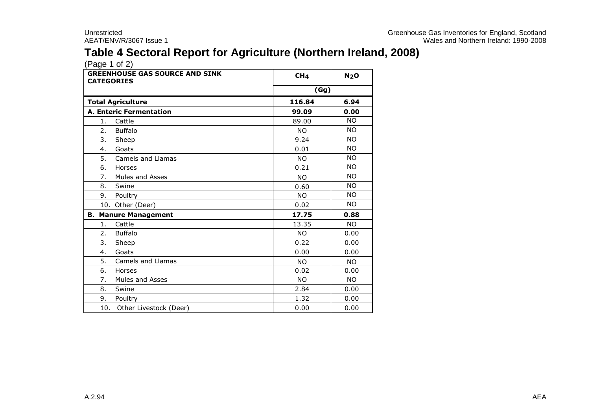# **Table 4 Sectoral Report for Agriculture (Northern Ireland, 2008)**

| <b>GREENHOUSE GAS SOURCE AND SINK</b><br><b>CATEGORIES</b> | CH <sub>4</sub> | N <sub>2</sub> O |
|------------------------------------------------------------|-----------------|------------------|
|                                                            | (Gg)            |                  |
| <b>Total Agriculture</b>                                   | 116.84          | 6.94             |
| <b>A. Enteric Fermentation</b>                             | 99.09           | 0.00             |
| 1.<br>Cattle                                               | 89.00           | <b>NO</b>        |
| 2.<br><b>Buffalo</b>                                       | <b>NO</b>       | <b>NO</b>        |
| 3.<br>Sheep                                                | 9.24            | <b>NO</b>        |
| Goats<br>4.                                                | 0.01            | <b>NO</b>        |
| 5.<br>Camels and Llamas                                    | <b>NO</b>       | <b>NO</b>        |
| 6.<br>Horses                                               | 0.21            | <b>NO</b>        |
| 7.<br><b>Mules and Asses</b>                               | <b>NO</b>       | <b>NO</b>        |
| 8.<br>Swine                                                | 0.60            | <b>NO</b>        |
| 9.<br>Poultry                                              | <b>NO</b>       | <b>NO</b>        |
| 10. Other (Deer)                                           | 0.02            | NO.              |
| <b>Manure Management</b><br>В.                             | 17.75           | 0.88             |
| Cattle<br>1.                                               | 13.35           | <b>NO</b>        |
| <b>Buffalo</b><br>2.                                       | <b>NO</b>       | 0.00             |
| 3.<br>Sheep                                                | 0.22            | 0.00             |
| 4.<br>Goats                                                | 0.00            | 0.00             |
| 5.<br>Camels and Llamas                                    | <b>NO</b>       | <b>NO</b>        |
| 6.<br>Horses                                               | 0.02            | 0.00             |
| 7.<br><b>Mules and Asses</b>                               | <b>NO</b>       | <b>NO</b>        |
| 8.<br>Swine                                                | 2.84            | 0.00             |
| 9.<br>Poultry                                              | 1.32            | 0.00             |
| 10.<br>Other Livestock (Deer)                              | 0.00            | 0.00             |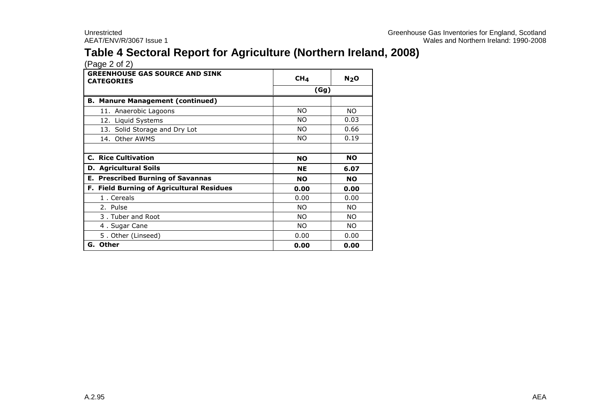# **Table 4 Sectoral Report for Agriculture (Northern Ireland, 2008)**

| <b>GREENHOUSE GAS SOURCE AND SINK</b><br><b>CATEGORIES</b> | CH <sub>4</sub> | N <sub>2</sub> O |  |
|------------------------------------------------------------|-----------------|------------------|--|
|                                                            | (Gg)            |                  |  |
| <b>B. Manure Management (continued)</b>                    |                 |                  |  |
| 11. Anaerobic Lagoons                                      | NO              | NO.              |  |
| 12. Liquid Systems                                         | NO.             | 0.03             |  |
| 13. Solid Storage and Dry Lot                              | NO.             | 0.66             |  |
| 14. Other AWMS                                             | NO.             | 0.19             |  |
|                                                            |                 |                  |  |
| <b>C. Rice Cultivation</b>                                 | <b>NO</b>       | <b>NO</b>        |  |
| <b>D. Agricultural Soils</b>                               | <b>NE</b>       | 6.07             |  |
| <b>E. Prescribed Burning of Savannas</b>                   | <b>NO</b>       | <b>NO</b>        |  |
| F. Field Burning of Agricultural Residues                  | 0.00            | 0.00             |  |
| 1. Cereals                                                 | 0.00            | 0.00             |  |
| 2. Pulse                                                   | NO.             | NO.              |  |
| 3. Tuber and Root                                          | NO.             | NO.              |  |
| 4. Sugar Cane                                              | NO.             | NO.              |  |
| 5. Other (Linseed)                                         | 0.00            | 0.00             |  |
| G. Other                                                   | 0.00            | 0.00             |  |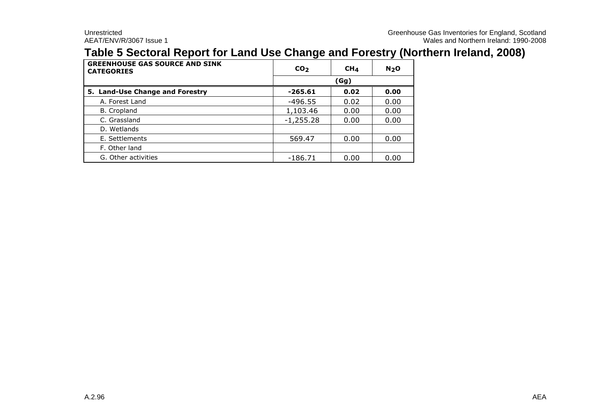### **Table 5 Sectoral Report for Land Use Change and Forestry (Northern Ireland, 2008)**

| <b>GREENHOUSE GAS SOURCE AND SINK</b><br><b>CATEGORIES</b> | CO <sub>2</sub> | CH <sub>4</sub> | N <sub>2</sub> O |  |  |
|------------------------------------------------------------|-----------------|-----------------|------------------|--|--|
|                                                            | (Gg)            |                 |                  |  |  |
| 5. Land-Use Change and Forestry                            | $-265.61$       | 0.02            | 0.00             |  |  |
| A. Forest Land                                             | $-496.55$       | 0.02            | 0.00             |  |  |
| <b>B.</b> Cropland                                         | 1,103.46        | 0.00            | 0.00             |  |  |
| C. Grassland                                               | $-1,255.28$     | 0.00            | 0.00             |  |  |
| D. Wetlands                                                |                 |                 |                  |  |  |
| E. Settlements                                             | 569.47          | 0.00            | 0.00             |  |  |
| F. Other land                                              |                 |                 |                  |  |  |
| G. Other activities                                        | $-186.71$       | 0.00            | 0.00             |  |  |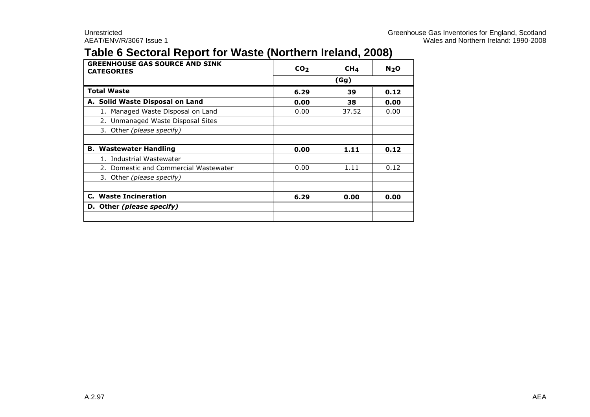# **Table 6 Sectoral Report for Waste (Northern Ireland, 2008)**

| <b>GREENHOUSE GAS SOURCE AND SINK</b><br><b>CATEGORIES</b> | CO <sub>2</sub> | CH <sub>4</sub> | N <sub>2</sub> O |  |  |
|------------------------------------------------------------|-----------------|-----------------|------------------|--|--|
|                                                            | (Gg)            |                 |                  |  |  |
| <b>Total Waste</b>                                         | 6.29            | 39              | 0.12             |  |  |
| A. Solid Waste Disposal on Land                            | 0.00            | 38              | 0.00             |  |  |
| Managed Waste Disposal on Land                             | 0.00            | 37.52           | 0.00             |  |  |
| 2. Unmanaged Waste Disposal Sites                          |                 |                 |                  |  |  |
| 3. Other (please specify)                                  |                 |                 |                  |  |  |
|                                                            |                 |                 |                  |  |  |
| <b>B. Wastewater Handling</b>                              | 0.00            | 1.11            | 0.12             |  |  |
| Industrial Wastewater                                      |                 |                 |                  |  |  |
| 2. Domestic and Commercial Wastewater                      | 0.00            | 1.11            | 0.12             |  |  |
| 3. Other (please specify)                                  |                 |                 |                  |  |  |
|                                                            |                 |                 |                  |  |  |
| C. Waste Incineration                                      | 6.29            | 0.00            | 0.00             |  |  |
| D. Other (please specify)                                  |                 |                 |                  |  |  |
|                                                            |                 |                 |                  |  |  |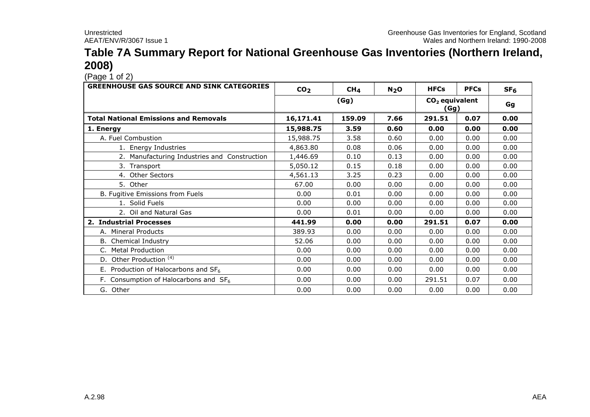#### **Table 7A Summary Report for National Greenhouse Gas Inventories (Northern Ireland, 2008)**

 $(Pa^2 \n1 of 2)$ 

| <b>GREENHOUSE GAS SOURCE AND SINK CATEGORIES</b> | CO <sub>2</sub> | CH <sub>4</sub> | N <sub>2</sub> O | <b>HFCs</b> | <b>PFCs</b>                        | SF <sub>6</sub> |
|--------------------------------------------------|-----------------|-----------------|------------------|-------------|------------------------------------|-----------------|
|                                                  |                 | (Gg)            |                  |             | CO <sub>2</sub> equivalent<br>(Gg) | Gg              |
| <b>Total National Emissions and Removals</b>     | 16,171.41       | 159.09          | 7.66             | 291.51      | 0.07                               | 0.00            |
| 1. Energy                                        | 15,988.75       | 3.59            | 0.60             | 0.00        | 0.00                               | 0.00            |
| A. Fuel Combustion                               | 15,988.75       | 3.58            | 0.60             | 0.00        | 0.00                               | 0.00            |
| 1. Energy Industries                             | 4,863.80        | 0.08            | 0.06             | 0.00        | 0.00                               | 0.00            |
| 2. Manufacturing Industries and Construction     | 1,446.69        | 0.10            | 0.13             | 0.00        | 0.00                               | 0.00            |
| 3. Transport                                     | 5,050.12        | 0.15            | 0.18             | 0.00        | 0.00                               | 0.00            |
| 4. Other Sectors                                 | 4,561.13        | 3.25            | 0.23             | 0.00        | 0.00                               | 0.00            |
| 5. Other                                         | 67.00           | 0.00            | 0.00             | 0.00        | 0.00                               | 0.00            |
| B. Fugitive Emissions from Fuels                 | 0.00            | 0.01            | 0.00             | 0.00        | 0.00                               | 0.00            |
| 1. Solid Fuels                                   | 0.00            | 0.00            | 0.00             | 0.00        | 0.00                               | 0.00            |
| 2. Oil and Natural Gas                           | 0.00            | 0.01            | 0.00             | 0.00        | 0.00                               | 0.00            |
| 2. Industrial Processes                          | 441.99          | 0.00            | 0.00             | 291.51      | 0.07                               | 0.00            |
| A. Mineral Products                              | 389.93          | 0.00            | 0.00             | 0.00        | 0.00                               | 0.00            |
| B. Chemical Industry                             | 52.06           | 0.00            | 0.00             | 0.00        | 0.00                               | 0.00            |
| C. Metal Production                              | 0.00            | 0.00            | 0.00             | 0.00        | 0.00                               | 0.00            |
| D. Other Production <sup>(4)</sup>               | 0.00            | 0.00            | 0.00             | 0.00        | 0.00                               | 0.00            |
| E. Production of Halocarbons and $SF6$           | 0.00            | 0.00            | 0.00             | 0.00        | 0.00                               | 0.00            |
| F. Consumption of Halocarbons and $SF6$          | 0.00            | 0.00            | 0.00             | 291.51      | 0.07                               | 0.00            |
| G. Other                                         | 0.00            | 0.00            | 0.00             | 0.00        | 0.00                               | 0.00            |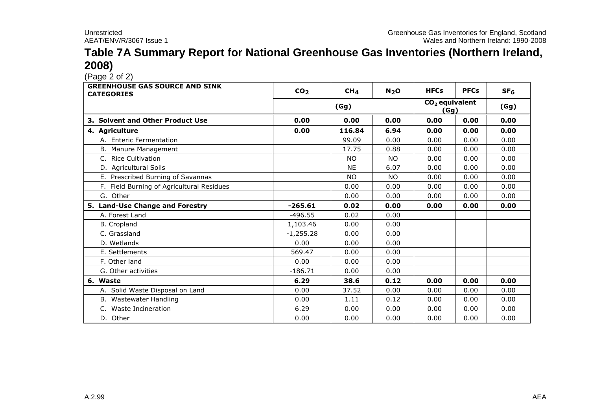#### **Table 7A Summary Report for National Greenhouse Gas Inventories (Northern Ireland, 2008)**

| $(1 - 2) - (-1) - (-1)$<br><b>GREENHOUSE GAS SOURCE AND SINK</b><br><b>CATEGORIES</b> | CO <sub>2</sub> | CH <sub>4</sub> | N <sub>2</sub> O | <b>HFCs</b>              | <b>PFCs</b> | SF <sub>6</sub> |
|---------------------------------------------------------------------------------------|-----------------|-----------------|------------------|--------------------------|-------------|-----------------|
|                                                                                       |                 | (Gg)            |                  | $CO2$ equivalent<br>(Gg) |             | (Gg)            |
| 3. Solvent and Other Product Use                                                      | 0.00            | 0.00            | 0.00             | 0.00                     | 0.00        | 0.00            |
| 4. Agriculture                                                                        | 0.00            | 116.84          | 6.94             | 0.00                     | 0.00        | 0.00            |
| A. Enteric Fermentation                                                               |                 | 99.09           | 0.00             | 0.00                     | 0.00        | 0.00            |
| B. Manure Management                                                                  |                 | 17.75           | 0.88             | 0.00                     | 0.00        | 0.00            |
| C. Rice Cultivation                                                                   |                 | <b>NO</b>       | <b>NO</b>        | 0.00                     | 0.00        | 0.00            |
| D. Agricultural Soils                                                                 |                 | <b>NE</b>       | 6.07             | 0.00                     | 0.00        | 0.00            |
| E. Prescribed Burning of Savannas                                                     |                 | <b>NO</b>       | <b>NO</b>        | 0.00                     | 0.00        | 0.00            |
| F. Field Burning of Agricultural Residues                                             |                 | 0.00            | 0.00             | 0.00                     | 0.00        | 0.00            |
| G. Other                                                                              |                 | 0.00            | 0.00             | 0.00                     | 0.00        | 0.00            |
| 5. Land-Use Change and Forestry                                                       | $-265.61$       | 0.02            | 0.00             | 0.00                     | 0.00        | 0.00            |
| A. Forest Land                                                                        | $-496.55$       | 0.02            | 0.00             |                          |             |                 |
| <b>B.</b> Cropland                                                                    | 1,103.46        | 0.00            | 0.00             |                          |             |                 |
| C. Grassland                                                                          | $-1,255.28$     | 0.00            | 0.00             |                          |             |                 |
| D. Wetlands                                                                           | 0.00            | 0.00            | 0.00             |                          |             |                 |
| E. Settlements                                                                        | 569.47          | 0.00            | 0.00             |                          |             |                 |
| F. Other land                                                                         | 0.00            | 0.00            | 0.00             |                          |             |                 |
| G. Other activities                                                                   | $-186.71$       | 0.00            | 0.00             |                          |             |                 |
| 6. Waste                                                                              | 6.29            | 38.6            | 0.12             | 0.00                     | 0.00        | 0.00            |
| A. Solid Waste Disposal on Land                                                       | 0.00            | 37.52           | 0.00             | 0.00                     | 0.00        | 0.00            |
| B. Wastewater Handling                                                                | 0.00            | 1.11            | 0.12             | 0.00                     | 0.00        | 0.00            |
| C. Waste Incineration                                                                 | 6.29            | 0.00            | 0.00             | 0.00                     | 0.00        | 0.00            |
| D. Other                                                                              | 0.00            | 0.00            | 0.00             | 0.00                     | 0.00        | 0.00            |